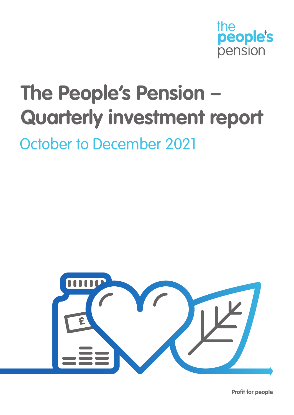

# **The People's Pension – Quarterly investment report**

October to December 2021



**Profit for people**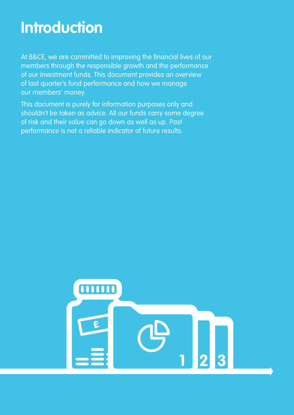### **Introduction**

At B&CE, we are committed to improving the financial lives of our members through the responsible growth and the performance of our investment funds. This document provides an overview of last quarter's fund performance and how we manage our members' money.

This document is purely for information purposes only and shouldn't be taken as advice. All our funds carry some degree of risk and their value can go down as well as up. Past performance is not a reliable indicator of future results.

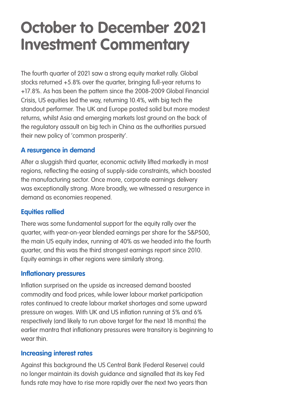### **October to December 2021 Investment Commentary**

The fourth quarter of 2021 saw a strong equity market rally. Global stocks returned +5.8% over the quarter, bringing full-year returns to +17.8%. As has been the pattern since the 2008-2009 Global Financial Crisis, US equities led the way, returning 10.4%, with big tech the standout performer. The UK and Europe posted solid but more modest returns, whilst Asia and emerging markets lost ground on the back of the regulatory assault on big tech in China as the authorities pursued their new policy of 'common prosperity'.

#### **A resurgence in demand**

After a sluggish third quarter, economic activity lifted markedly in most regions, reflecting the easing of supply-side constraints, which boosted the manufacturing sector. Once more, corporate earnings delivery was exceptionally strong. More broadly, we witnessed a resurgence in demand as economies reopened.

#### **Equities rallied**

There was some fundamental support for the equity rally over the quarter, with year-on-year blended earnings per share for the S&P500, the main US equity index, running at 40% as we headed into the fourth quarter, and this was the third strongest earnings report since 2010. Equity earnings in other regions were similarly strong.

#### **Inflationary pressures**

Inflation surprised on the upside as increased demand boosted commodity and food prices, while lower labour market participation rates continued to create labour market shortages and some upward pressure on wages. With UK and US inflation running at 5% and 6% respectively (and likely to run above target for the next 18 months) the earlier mantra that inflationary pressures were transitory is beginning to wear thin.

#### **Increasing interest rates**

Against this background the US Central Bank (Federal Reserve) could no longer maintain its dovish guidance and signalled that its key Fed funds rate may have to rise more rapidly over the next two years than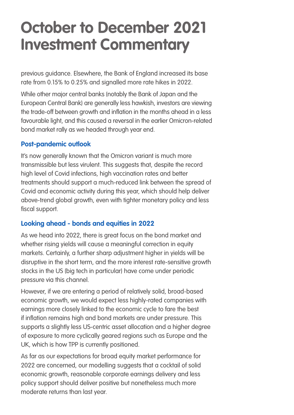### **October to December 2021 Investment Commentary**

previous guidance. Elsewhere, the Bank of England increased its base rate from 0.15% to 0.25% and signalled more rate hikes in 2022.

While other major central banks (notably the Bank of Japan and the European Central Bank) are generally less hawkish, investors are viewing the trade-off between growth and inflation in the months ahead in a less favourable light, and this caused a reversal in the earlier Omicron-related bond market rally as we headed through year end.

#### **Post-pandemic outlook**

It's now generally known that the Omicron variant is much more transmissible but less virulent. This suggests that, despite the record high level of Covid infections, high vaccination rates and better treatments should support a much-reduced link between the spread of Covid and economic activity during this year, which should help deliver above-trend global growth, even with tighter monetary policy and less fiscal support.

#### **Looking ahead - bonds and equities in 2022**

As we head into 2022, there is great focus on the bond market and whether rising yields will cause a meaningful correction in equity markets. Certainly, a further sharp adjustment higher in yields will be disruptive in the short term, and the more interest rate-sensitive growth stocks in the US (big tech in particular) have come under periodic pressure via this channel.

However, if we are entering a period of relatively solid, broad-based economic growth, we would expect less highly-rated companies with earnings more closely linked to the economic cycle to fare the best if inflation remains high and bond markets are under pressure. This supports a slightly less US-centric asset allocation and a higher degree of exposure to more cyclically geared regions such as Europe and the UK, which is how TPP is currently positioned.

As far as our expectations for broad equity market performance for 2022 are concerned, our modelling suggests that a cocktail of solid economic growth, reasonable corporate earnings delivery and less policy support should deliver positive but nonetheless much more moderate returns than last year.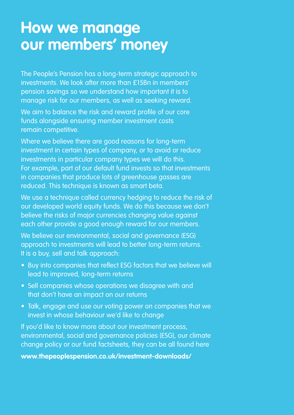### **How we manage our members' money**

The People's Pension has a long-term strategic approach to investments. We look after more than £15Bn in members' pension savings so we understand how important it is to manage risk for our members, as well as seeking reward.

We aim to balance the risk and reward profile of our core funds alongside ensuring member investment costs remain competitive.

Where we believe there are good reasons for long-term investment in certain types of company, or to avoid or reduce investments in particular company types we will do this. For example, part of our default fund invests so that investments in companies that produce lots of greenhouse gasses are reduced. This technique is known as smart beta.

We use a technique called currency hedging to reduce the risk of our developed world equity funds. We do this because we don't believe the risks of major currencies changing value against each other provide a good enough reward for our members.

We believe our environmental, social and governance (ESG) approach to investments will lead to better long-term returns. It is a buy, sell and talk approach:

- Buy into companies that reflect ESG factors that we believe will lead to improved, long-term returns
- Sell companies whose operations we disagree with and that don't have an impact on our returns
- Talk, engage and use our voting power on companies that we invest in whose behaviour we'd like to change

If you'd like to know more about our investment process, environmental, social and governance policies (ESG), our climate change policy or our fund factsheets, they can be all found here

**www.thepeoplespension.co.uk/investment-downloads/**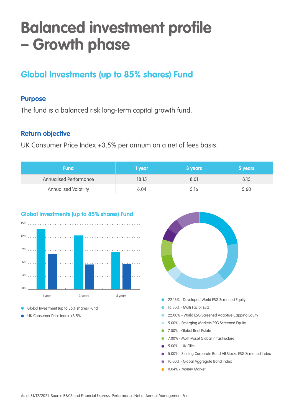### **Balanced investment profile – Growth phase**

### **Global Investments (up to 85% shares) Fund**

#### **Purpose**

The fund is a balanced risk long-term capital growth fund.

#### **Return objective**

UK Consumer Price Index +3.5% per annum on a net of fees basis.

| <b>Fund</b>                  | l year | 3 years | 5 years |  |  |  |
|------------------------------|--------|---------|---------|--|--|--|
| Annualised Performance       | 18.15  | 8.01    | 8.15    |  |  |  |
| <b>Annualised Volatility</b> | 6.04   | 5.I6    | 5.60    |  |  |  |



#### **Global Investments (up to 85% shares) Fund**

Global Investment (up to 85% shares) Fund

UK Consumer Price index +3.5%



0.04% - Money Market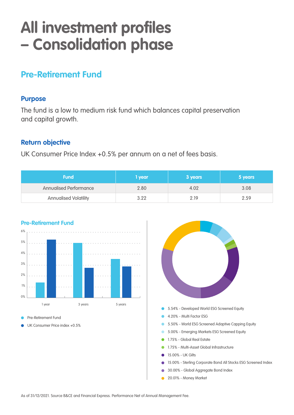### **All investment profiles – Consolidation phase**

#### **Pre-Retirement Fund**

#### **Purpose**

The fund is a low to medium risk fund which balances capital preservation and capital growth.

#### **Return objective**

UK Consumer Price Index +0.5% per annum on a net of fees basis.

| <b>Fund</b>                   | <b>vear</b> | 3 years | 5 years |
|-------------------------------|-------------|---------|---------|
| <b>Annualised Performance</b> | 2.80        | 4.02    | 3.08    |
| <b>Annualised Volatility</b>  | 3.22        | 2 19    | 2.59    |



Pre-Retirement Fund

UK Consumer Price index +0.5%

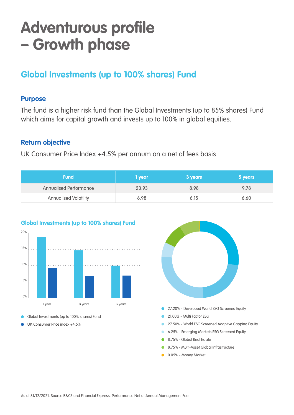### **Adventurous profile – Growth phase**

#### **Global Investments (up to 100% shares) Fund**

#### **Purpose**

The fund is a higher risk fund than the Global Investments (up to 85% shares) Fund which aims for capital growth and invests up to 100% in global equities.

#### **Return objective**

UK Consumer Price Index +4.5% per annum on a net of fees basis.

| <b>Fund</b>                   | <b>year</b> | 3 years | 5 years |
|-------------------------------|-------------|---------|---------|
| <b>Annualised Performance</b> | 23.93       | 8.98    | 9.78    |
| <b>Annualised Volatility</b>  | 6.98        | 6.15    | 6.60    |



#### **Global Investments (up to 100% shares) Fund**

- Global Investments (up to 100% shares) Fund
- UK Consumer Price index +4.5%

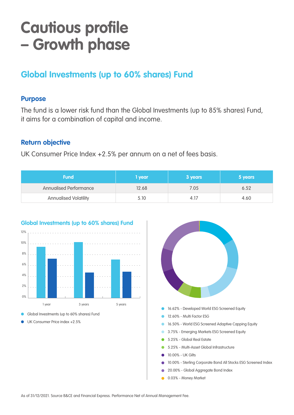### **Cautious profile – Growth phase**

### **Global Investments (up to 60% shares) Fund**

#### **Purpose**

The fund is a lower risk fund than the Global Investments (up to 85% shares) Fund, it aims for a combination of capital and income.

#### **Return objective**

UK Consumer Price Index +2.5% per annum on a net of fees basis.

| <b>Fund</b>                   | I year | 3 years | 5 years |
|-------------------------------|--------|---------|---------|
| <b>Annualised Performance</b> | 12.68  | 7.05    | 6.52    |
| <b>Annualised Volatility</b>  | 5.10   | 4.1/    | 4.60    |



Global Investments (up to 60% shares) Fund

UK Consumer Price index +2.5%



- 16.50% World ESG Screened Adaptive Capping Equity
- 3.75% Emerging Markets ESG Screened Equity
- 5.25% Global Real Estate
- 5.25% Multi-Asset Global Infrastructure
- 10.00% UK Gilts
- 10.00% Sterling Corporate Bond All Stocks ESG Screened Index
- 20.00% Global Aggregate Bond Index
- 0.03% Money Market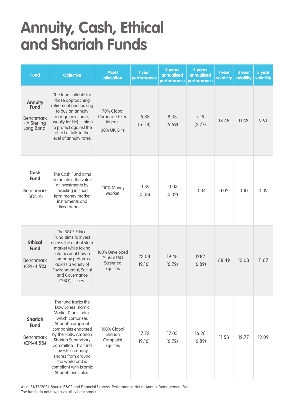### **Annuity, Cash, Ethical and Shariah Funds**

| <b>Fund</b>                                                                     | <b>Objective</b>                                                                                                                                                                                                                                                                                                  | <b>Asset</b><br>allocation                                | 1 year<br>performance | 3 years<br>annualised<br>performance | 5 years<br>annualised<br>performance | 1 year<br>volatility | 3 year<br>volatility | 5 year<br>volatility |
|---------------------------------------------------------------------------------|-------------------------------------------------------------------------------------------------------------------------------------------------------------------------------------------------------------------------------------------------------------------------------------------------------------------|-----------------------------------------------------------|-----------------------|--------------------------------------|--------------------------------------|----------------------|----------------------|----------------------|
| <b>Annuity</b><br><b>Fund</b><br><b>Benchmark</b><br>(IA Sterling<br>Long Bond) | The fund suitable for<br>those approaching<br>retirement and looking<br>to buy an annuity<br>(a regular income,<br>usually for life). It aims<br>to protect against the<br>effect of falls in the<br>level of annuity rates.                                                                                      | 70% Global<br>Corporate Fixed<br>Interest<br>30% UK Gilts | $-5.83$<br>$(-6.18)$  | 8.33<br>(5.69)                       | 5.19<br>(3.77)                       | 13.48                | 11.43                | 9.91                 |
| Cash<br><b>Fund</b><br><b>Benchmark</b><br>(SONIA)                              | The Cash Fund aims<br>to maintain the value<br>of investments by<br>investing in short<br>term money market<br>instruments and<br>fixed deposits.                                                                                                                                                                 | 100% Money<br>Market                                      | $-0.39$<br>(0.06)     | $-0.08$<br>(0.32)                    | $-0.04$                              | 0.02                 | 0.10                 | 0.09                 |
| <b>Ethical</b><br><b>Fund</b><br><b>Benchmark</b><br>$(CPI+4.5%)$               | The B&CE Ethical<br>Fund aims to invest<br>across the global stock<br>market while taking<br>into account how a<br>company performs<br>across a variety of<br>Environmental, Social<br>and Governance<br>("ESG") issues.                                                                                          | 100% Developed<br>Global ESG<br>Screened<br>Equities      | 23.08<br>(9.16)       | 19.48<br>(6.72)                      | 1282<br>(6.89)                       | 88.49                | 13.08                | 11.87                |
| <b>Shariah</b><br><b>Fund</b><br><b>Benchmark</b><br>$(CPI+4.5%)$               | The fund tracks the<br>Dow Jones Islamic<br>Market Titans Index,<br>which comprises<br>Shariah-compliant<br>companies endorsed<br>by the HSBC Amanah<br>Shariah Supervisory<br>Committee. This fund<br>invests company<br>shares from around<br>the world and is<br>compliant with Islamic<br>Shariah principles. | 100% Global<br>Shariah<br>Complaint<br>Equities           | 17.72<br>(9.16)       | 17.05<br>(6.72)                      | 16.28<br>(6.89)                      | 11.53                | 12.77                | 12.09                |

As of 31/12/2021. Source B&CE and Financial Express. Performance Net of Annual Management Fee. The funds do not have a volatility benchmark.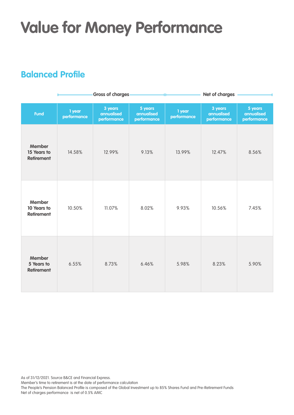## **Value for Money Performance**

### **Balanced Profile**

|                                                   |                       | <b>Gross of charges</b>              |                                      | Net of charges        |                                      |                                      |  |  |
|---------------------------------------------------|-----------------------|--------------------------------------|--------------------------------------|-----------------------|--------------------------------------|--------------------------------------|--|--|
| <b>Fund</b>                                       | 1 year<br>performance | 3 years<br>annualised<br>performance | 5 years<br>annualised<br>performance | 1 year<br>performance | 3 years<br>annualised<br>performance | 5 years<br>annualised<br>performance |  |  |
| <b>Member</b><br>15 Years to<br><b>Retirement</b> | 14.58%                | 12.99%                               | 9.13%                                | 13.99%                | 12.47%                               | 8.56%                                |  |  |
| <b>Member</b><br>10 Years to<br><b>Retirement</b> | 10.50%                | 11.07%                               | 8.02%                                | 9.93%                 | 10.56%                               | 7.45%                                |  |  |
| <b>Member</b><br>5 Years to<br><b>Retirement</b>  | 6.55%                 | 8.73%                                | 6.46%                                | 5.98%                 | 8.23%                                | 5.90%                                |  |  |

As of 31/12/2021. Source B&CE and Financial Express.

Member's time to retirement is at the date of performance calculation

The People's Pension Balanced Profile is composed of the Global Investment up to 85% Shares Fund and Pre-Retirement Funds Net of charges performance is net of 0.5% AMC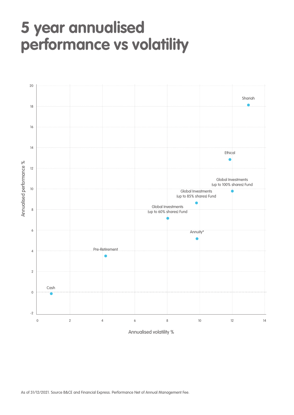### **5 year annualised performance vs volatility**

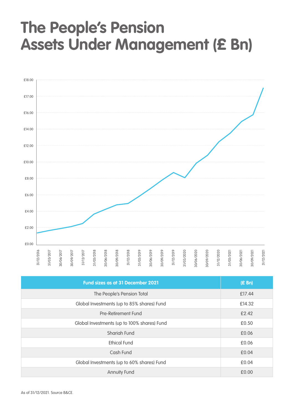### **The People's Pension Assets Under Management (£ Bn)**



|                                | 31/12/2016                                 | 31/03/2017 | 30/06/2017 | 30/09/2017 | 31/12/2017 | 31/03/2018 | 30/06/2018 | 30/09/2018 | 31/12/2018          | 31/03/2019                                 | 30/06/2019 | 30/09/2019                                  | 31/12/2019 | 31/03/2020 | 30/06/2020 | 30/09/2020 | 31/12/2020 | 31/03/2021 | 30/06/2021 | 30/09/2021 | 31/12/2021 |
|--------------------------------|--------------------------------------------|------------|------------|------------|------------|------------|------------|------------|---------------------|--------------------------------------------|------------|---------------------------------------------|------------|------------|------------|------------|------------|------------|------------|------------|------------|
|                                |                                            |            |            |            |            |            |            |            |                     | Fund sizes as at 31 December 2021          |            |                                             |            |            |            |            |            |            |            | (E Bn)     |            |
|                                |                                            |            |            |            |            |            |            |            |                     | The People's Pension Total                 |            |                                             |            |            |            |            |            | £17.44     |            |            |            |
|                                |                                            |            |            |            |            |            |            |            |                     | Global Investments (up to 85% shares) Fund |            |                                             |            |            |            |            |            | £14.32     |            |            |            |
|                                | Pre-Retirement Fund                        |            |            |            |            |            |            |            |                     |                                            |            |                                             |            | £2.42      |            |            |            |            |            |            |            |
|                                |                                            |            |            |            |            |            |            |            |                     |                                            |            | Global Investments (up to 100% shares) Fund |            |            |            |            |            | £0.50      |            |            |            |
|                                |                                            |            |            |            |            |            |            |            | Shariah Fund        |                                            |            |                                             |            |            |            |            |            | £0.06      |            |            |            |
|                                |                                            |            |            |            |            |            |            |            | <b>Ethical Fund</b> |                                            |            |                                             |            |            |            |            |            | £0.06      |            |            |            |
|                                |                                            |            |            |            |            |            |            | Cash Fund  |                     |                                            |            |                                             |            |            |            |            |            | £0.04      |            |            |            |
|                                | Global Investments (up to 60% shares) Fund |            |            |            |            |            |            |            |                     |                                            |            |                                             |            | £0.04      |            |            |            |            |            |            |            |
| <b>Annuity Fund</b>            |                                            |            |            |            |            |            |            |            |                     |                                            |            | £0.00                                       |            |            |            |            |            |            |            |            |            |
| As of 31/12/2021. Source B&CE. |                                            |            |            |            |            |            |            |            |                     |                                            |            |                                             |            |            |            |            |            |            |            |            |            |